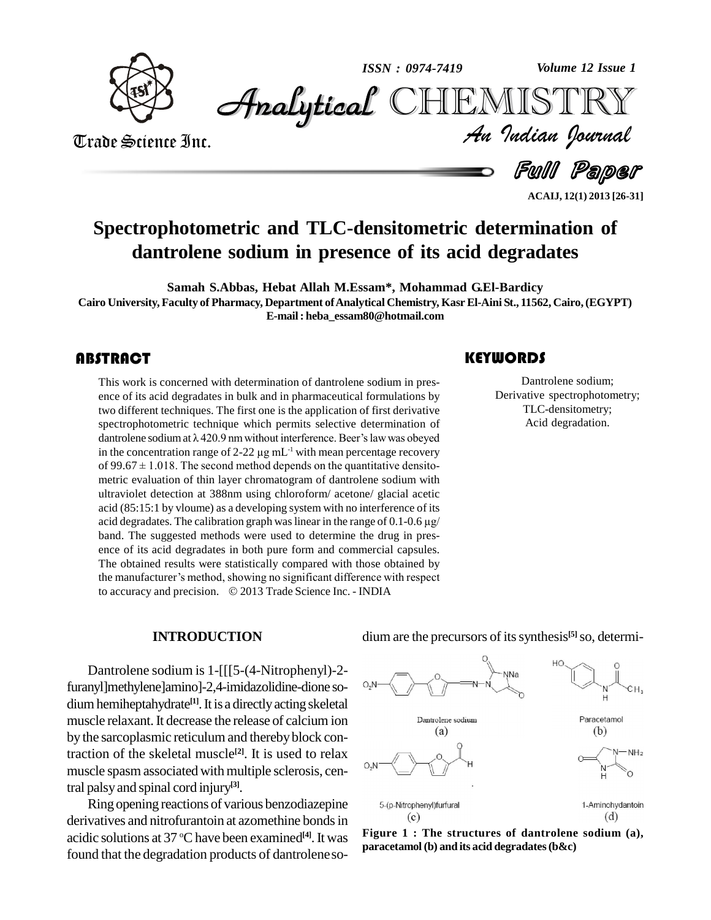

*Volume 12 Issue 1*



Trade Science Inc. Trade Science Inc.

*Volume 12 Issue 1*<br>IISTRY<br>Indian Iournal **Analytical** CHEMISTRY

Full Paper

**ACAIJ, 12(1) 2013 [26-31]**

## **Spectrophotometric and TLC-densitometric determination of dantrolene sodium in presence of its acid degradates**

**Samah S.Abbas, Hebat Allah M.Essam\*, Mohammad G.El-Bardicy Cairo University, Faculty of Pharmacy, Department ofAnalytical Chemistry, KasrEl-Aini St., 11562, Cairo,(EGYPT) E-mail: [heba\\_essam80@hotmail.com](mailto:heba_essam80@hotmail.com)**

This work is concerned<br>ence of its acid degradat<br>two different techniques This work is concerned with determination of dantrolene sodium in pres-ence of its acid degradates in bulk and in pharmaceutical formulations by two different techniques. The first one is the application of first derivative spectrophotometric technique which permits selective determination of two different techniques. The first one is the application of first derivative spectrophotometric technique which permits selective determination of dantrolene sodium at  $\lambda$  420.9 nm without interference. Beer's law was spectrophotometric technique which permits selec<br>dantrolene sodium at  $\lambda$  420.9 nm without interference.<br>in the concentration range of 2-22  $\mu$ g mL<sup>-1</sup> with mean in the concentration range of 2-22  $\mu$ g mL<sup>-1</sup> with mean percentage recovery dantrolene sodium at  $\lambda$  420.9 nm without interference. Beer's law was obeyed<br>in the concentration range of 2-22  $\mu$ g mL<sup>-1</sup> with mean percentage recovery<br>of 99.67 ± 1.018. The second method depends on the quantitative metric evaluation of thin layer chromatogram of dantrolene sodium with ultraviolet detection at 388nm using chloroform/ acetone/ glacial acetic acid (85:15:1 by vloume) as a developing system with no interference of its ultraviolet detection at 388nm using chloroform/acetone/glacial acetic<br>acid (85:15:1 by vloume) as a developing system with no interference of its<br>acid degradates. The calibration graph was linear in the range of 0.1-0.6 µ band. The suggested methods were used to determine the drug in pres ence of its acid degradates in both pure form and commercial capsules.<br>The obtained results were statistically compared with those obtained by<br>the manufacturer's method, showing no significant difference with respect The obtained results were statistically compared with those obtained by the manufacturer's method, showing no significant difference with respect to accuracy and precision.  $\oslash$  2013 Trade Science Inc. - INDIA

#### **KEYWORDS**

Dantrolene sodi<br>Derivative spectroph<br>TLC-densitome Dantrolene sodium; Derivative spectrophotometry; TLC-densitometry; Acid degradation.

#### **INTRODUCTION**

Dantrolene sodium is 1-[[[5-(4-Nitrophenyl)-2 furanyl]methylene]amino]-2,4-imidazolidine-dione so diumhemiheptahydrate **[1]**.It is a directlyacting skeletal muscle relaxant.It decrease the release of calcium ion by the sarcoplasmic reticulum and thereby block contraction of the skeletal muscle<sup>[2]</sup>. It is used to relax  $\qquad \qquad \mathbb{R}$ muscle spasm associated with multiple sclerosis, central palsyand spinal cord injury **[3]**.

Ring opening reactions of various benzodiazepine 5-(p-Nitrophenyl)furfural derivatives and nitrofurantoin at azomethine bonds in acidic solutions at 37 °C have been examined<sup>[4]</sup>. It was **Figu** found that the degradation products of dantrolene so-



**Figure 1 : The structures of dantrolene sodium (a), paracetamol (b) and its acid degradates(b&c)**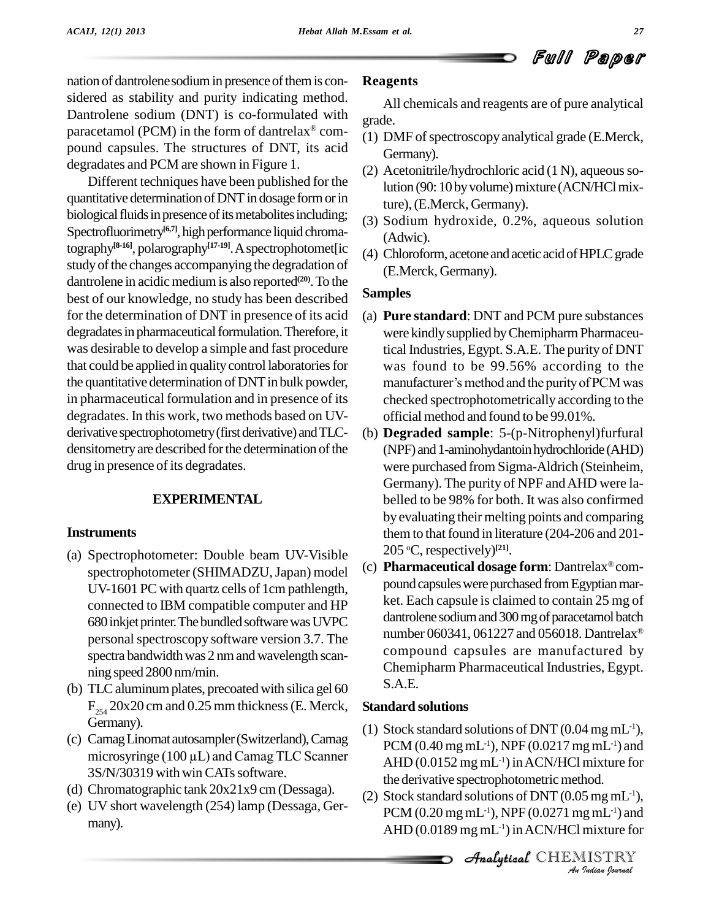nation of dantrolene sodium in presence of them is considered as stability and purity indicating method. Dantrolene sodium (DNT) is co-formulated with  $\frac{H}{grade}$ paracetamol (PCM) in the form of dantrelax<sup>®</sup> compound capsules. The structures of DNT, its acid degradates and PCM are shown in Figure 1.

Different techniques have been published for the quantitative determination of DNT in dosage form or in biological fluids in presence of its metabolites including; Spectrofluorimetry<sup>[6,7]</sup>, high performance liquid chromatography<sup>[8-16]</sup>, polarography<sup>[17-19]</sup>. A spectrophotomet[ic (A) study of the changes accompanying the degradation of dantrolene in acidic medium is also reported $(20)$ . To the best of our knowledge, no study has been described for the determination of DNT in presence of its acid degradates in pharmaceutical formulation. Therefore, it was desirable to develop a simple and fast procedure that could be applied in quality control laboratories for the quantitative determination of DNT in bulk powder, in pharmaceutical formulation and in presence of its degradates. In this work, two methods based on UV derivative spectrophotometry (first derivative) and TLCdensitometry are described for the determination of the drug in presence of its degradates.

### **EXPERIMENTAL**

#### **Instruments**

- (a) Spectrophotometer: Double beam UV-Visible spectrophotometer (SHIMADZU, Japan) model UV-1601 PC with quartz cells of 1cm pathlength, connected to IBM compatible computer and HP 680 inkjet printer. The bundled software was UVPC personal spectroscopy software version 3.7. The spectra bandwidth was 2 nm and wavelength scanning speed 2800 nm/min.
- (b) TLC aluminum plates, precoated with silica gel  $60$  $F<sub>254</sub>$  20x20 cm and 0.25 mm thickness (E. Merck, Germany).
- (c) CamagLinomat autosampler(Switzerland),Camag microsyringe  $(100 \,\mu L)$  and Camag TLC Scanner 3S/N/30319 with win CATs software.
- (d) Chromatographic tank 20x21x9 cm(Dessaga).
- (e) UV short wavelength (254) lamp (Dessaga, Ger many).

#### **Reagents**

All chemicals and reagents are of pure analytical grade.

- (1) DMF of spectroscopy analytical grade (E.Merck, Germany).
- (2) Acetonitrile/hydrochloric acid  $(1 N)$ , aqueous solution (90: 10 by volume) mixture (ACN/HCl mixture), (E.Merck, Germany).
- (3) Sodium hydroxide, 0.2%, aqueous solution (Adwic).
- (4) Chloroform, acetoneandacetic acidofHPLCgrade (E.Merck, Germany).

#### **Samples**

- (a) **Pure standard**: DNT and PCM pure substances were kindly supplied by Chemipharm Pharmaceutical Industries, Egypt. S.A.E. The purity of DNT was found to be 99.56% according to the manufacturer's method and the purity of PCM was checked spectrophotometrically according to the official method and found to be 99.01%.
- (b) **Degraded sample**: 5-(p-Nitrophenyl)furfural (NPF) and 1-aminohydantoin hydrochloride (AHD) were purchased from Sigma-Aldrich (Steinheim, Germany). The purity of NPF andAHD were la belled to be 98% for both. It was also confirmed by evaluating their melting points and comparing them to that found in literature  $(204-206$  and  $201-$ 205 <sup>o</sup>C, respectively) **[21]**.
- (c) Pharmaceutical dosage form: Dantrelax®compound capsules were purchased from Egyptian market. Each capsule is claimed to contain 25 mg of dantrolene sodium and 300 mg of paracetamol batch number 060341, 061227 and 056018. Dantrelax<sup>®</sup> compound capsules are manufactured by Chemipharm Pharmaceutical Industries, Egypt. S.A.E.

#### **Standard solutions**

- the derivative spectrophotometric method. (1) Stock standard solutions of DNT  $(0.04 \,\mathrm{mg\,mL^{-1}})$ ,  $PCM$  (0.40 mg mL<sup>-1</sup>), NPF (0.0217 mg mL<sup>-1</sup>) and AHD  $(0.0152 \text{ mg} \text{ mL}^{-1})$  in ACN/HCl mixture for
- *I*<br>*Img mL<sup>-1</sup>)* and<br>*IISTRY*<br>*IISTRY*<br>*Indian bouvaal* (2) Stock standard solutions of DNT  $(0.05 \,\mathrm{mg}\,\mathrm{mL}^{-1})$ , PCM (0.20 mgmL -1), NPF (0.0271 mgmL -1) and AHD  $(0.0189 \text{ mg} \text{ mL}^{-1})$  in ACN/HCl mixture for

**Analytical** CHEMISTRY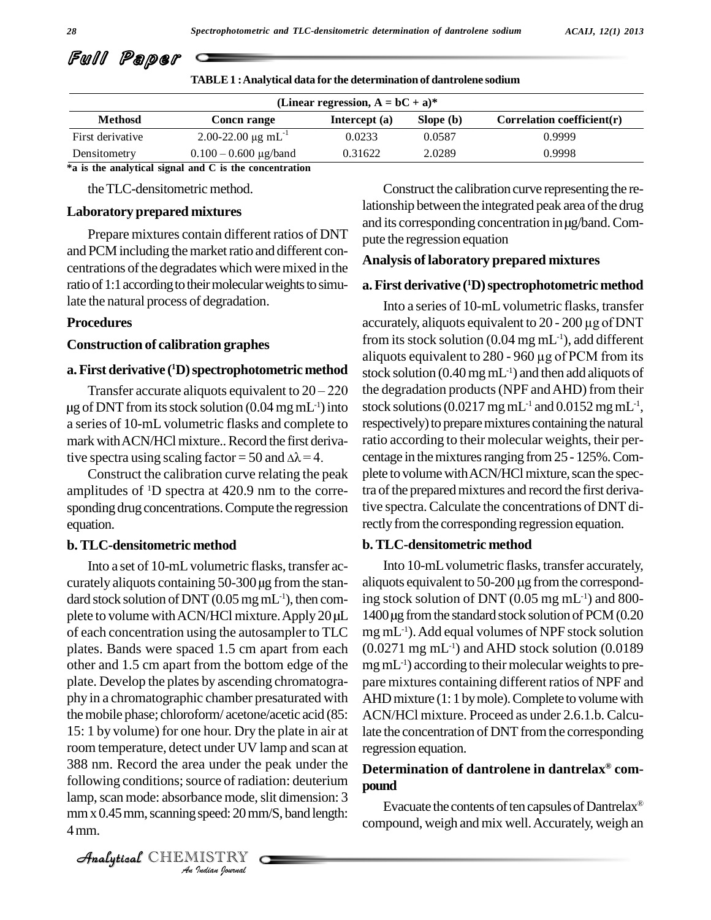| 28                                  | Spectrophotometric and TLC-densitometric determination of dantrolene sodium |                                                                                                                 |           |  | ACAIJ, 12(1) 2013             |
|-------------------------------------|-----------------------------------------------------------------------------|-----------------------------------------------------------------------------------------------------------------|-----------|--|-------------------------------|
| Fwll<br>Paper                       |                                                                             |                                                                                                                 |           |  |                               |
|                                     | <b>TABLE 1: Analytical data for the determination of dantrolene sodium</b>  |                                                                                                                 |           |  |                               |
|                                     |                                                                             | (Linear regression, $A = bC + a$ )*                                                                             |           |  |                               |
| <b>Methosd</b>                      | <b>Concn range</b>                                                          | Intercept (a)                                                                                                   | Slope (b) |  | Correlation coefficient $(r)$ |
| First derivative                    | 2.00-22.00 $\mu$ g mL <sup>-1</sup>                                         | 0.0233                                                                                                          | 0.0587    |  | 0.9999                        |
| Densitometry                        | $0.100 - 0.600 \mu g/b$ and                                                 | 0.31622                                                                                                         | 2.0289    |  | 0.9998                        |
|                                     | *a is the analytical signal and C is the concentration                      |                                                                                                                 |           |  |                               |
| the TLC-densitometric method.       |                                                                             | Construct the calibration curve representing the re-                                                            |           |  |                               |
| <b>Laboratory prepared mixtures</b> |                                                                             | lationship between the integrated peak area of the drug<br>and its corresponding concentration in ug/band. Com- |           |  |                               |

| TABLE 1 : Analytical data for the determination of dantrolene sodium |  |
|----------------------------------------------------------------------|--|
|----------------------------------------------------------------------|--|

### **Laboratory prepared mixtures** µ

and PCM including the market ratio and different concentrations of the degradates which were mixed in the ratio of 1:1 according to their molecular weights to simulate the natural process of degradation.

#### **Procedures**

#### **Construction of calibration graphes**

#### **a. First derivative** (<sup>1</sup>**D**) spectrophotometric method stock so

 $\frac{1}{\text{first derivative (1D) spectrum}}$  aliquot<br>Transfer accurate aliquots equivalent to 20 – 220 the deg  $\mu$ g of DNT from its stock solution (0.04 mg mL<sup>-1</sup>) into a series of 10-mL volumetric flasks and complete to mark with ACN/HCl mixture.. Record the first derivaa series of 10-mL volumetric flasks and complete to<br>mark with ACN/HCl mixture.. Record the first deriva-<br>tive spectra using scaling factor = 50 and  $\Delta \lambda$  = 4.

Construct the calibration curve relating the peak amplitudes of  $\rm{^{1}D}$  spectra at 420.9 nm to the corre- trac sponding drug concentrations.Compute the regression equation. Let be a series of 10-mL volumetric flasks and complete to responsive a series of 10-mL volumetric flasks and complete to responsive spectra using scaling factor = 50 and  $\Delta \lambda$  = 4. Construct the calibration curve relati

#### **b. TLC-densitometric method**

Following conditions; source of radiation: deuterium *India*<br>
Jource of radia<br>
Jance mode, speed: 20 mm<br>
ISTRY Into a set of 10-mL volumetric flasks, transfer acdard stock solution of DNT  $(0.05 \text{ mg} \text{ mL}^{-1})$ , then coma series of 10-mL volumetric flasks and complete to<br>mark with ACN/HCl mixture.. Record the first deriva-<br>tive spectra using scaling factor = 50 and  $\Delta \lambda$  = 4. Construct the calibration curve relating the peak plete to v<br> of each concentration using the autosampler to TLC plates. Bands were spaced 1.5 cm apart from each other and 1.5 cm apart from the bottom edge of the plate. Develop the plates by ascending chromatogra phy in a chromatographic chamber presaturated with themobile phase; chloroform/ acetone/acetic acid (85: 15: 1 by volume) for one hour. Dry the plate in airat room temperature, detect under UV lamp and scan at 388 nm. Record the area under the peak under the lamp, scan mode: absorbance mode, slit dimension: 3  $mm \times 0.45 \, mm$ , scanning speed:  $20 \, mm/S$ , band length: 4mm.

example and its corresponding concentration in  $\mu$ g/band. Com-<br>Prepare mixtures contain different ratios of DNT pute the regression equation Construct the calibration curve representing the relationship between the integrated peak area of the drug pute the regression equation

#### **Analysis of laboratory prepared mixtures**

#### **a.First derivative ( <sup>1</sup>D)spectrophotometricmethod**

<sup>-1</sup>) into stock solutions (0.0217 mg mL<sup>-1</sup> and 0.0152 mg mL<sup>-1</sup>, Into a series of 10-mLvolumetric flasks, transfer accurately, aliquots equivalent to <sup>20</sup> - <sup>200</sup> µg of DNT from its stock solution (0.04  $mg$  mL $^{-1}$ ), add different accurately, aliquots equivalent to 20 - 200 µg of DNT<br>from its stock solution (0.04 mg mL<sup>-1</sup>), add different<br>aliquots equivalent to 280 - 960 µg of PCM from its stock solution (0.40mgmL -1) and then add aliquots of the degradation products(NPF andAHD) from their respectively) to prepare mixtures containing the natural ratio according to their molecular weights, their per centage in the mixtures ranging from 25 - 125%. Complete to volume with ACN/HCl mixture, scan the spectra of the prepared mixtures and record the first derivative spectra.Calculate the concentrations of DNT directly from the corresponding regression equation. respectively) to prepare mixtures containing the natural<br>ratio according to their molecular weights, their per-<br>centage in the mixtures ranging from 25 - 125%. Com-<br>plete to volume with ACN/HCl mixture, scan the spec-<br>tra

#### **b. TLC-densitometric method**

Into 10-mLvolumetric flasks, transfer accurately, aliquots equivalent to  $50-200 \mu$ g from the corresponding stock solution of DNT (0.05 mg mL -1) and 800 mg mL -1).Add equal volumes of NPF stock solution  $(0.0271 \text{ mg} \text{ mL}^{-1})$  and AHD stock solution  $(0.0189 \text{ m})$  $mg$  mL $^{-1}$ ) according to their molecular weights to prepare mixtures containing different ratios of NPF and AHD mixture (1: 1 by mole). Complete to volume with ACN/HCl mixture. Proceed as under 2.6.1.b. Calculate the concentration of DNT from the corresponding regression equation.

#### **Determination of dantrolene in dantrelax com pound**

Evacuate the contents of ten capsules of Dantrelax<sup>®</sup> compound, weigh and mix well.Accurately, weigh an

CHEMISTRY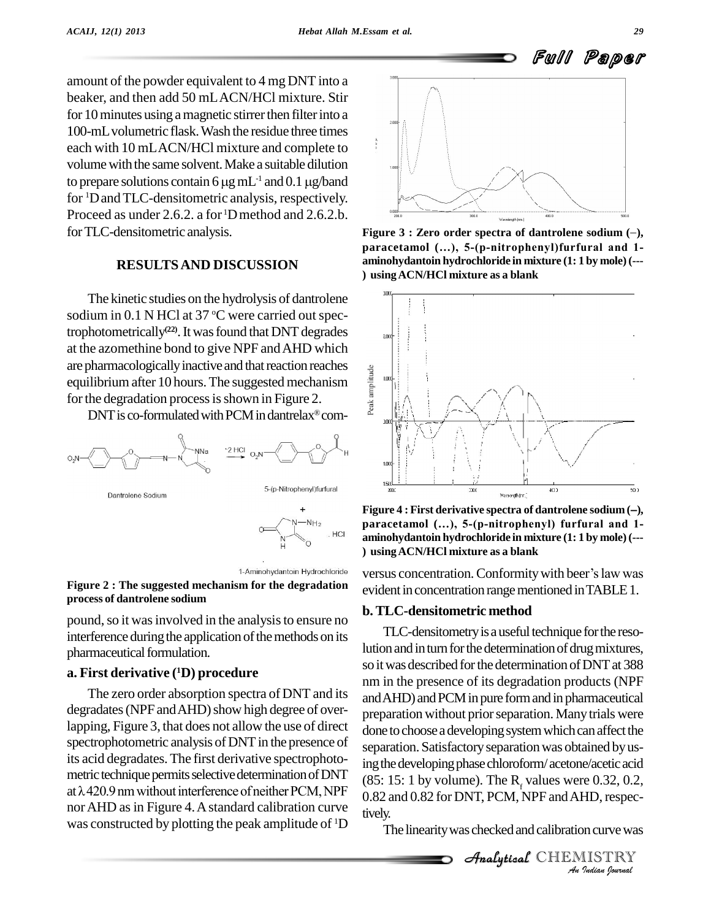amount of the powder equivalent to 4 mg DNT into a beaker, and then add 50 mLACN/HCl mixture. Stir for 10 minutes using a magnetic stirrer then filter into a 100-mLvolumetric flask.Wash the residue three times each with 10 mLACN/HCl mixture and complete to<br>volume with the same solvent. Make a suitable dilution<br>to prepare solutions contain 6  $\mu$ g mL<sup>-1</sup> and 0.1  $\mu$ g/band volume with the same solvent. Make a suitable dilution for <sup>1</sup>DandTLC-densitometric analysis, respectively. Proceed as under 2.6.2. a for <sup>1</sup>Dmethod and 2.6.2.b. forTLC-densitometric analysis.

#### **RESULTSAND DISCUSSION**

The kinetic studies on the hydrolysis of dantrolene sodium in 0.1 N HCl at 37 °C were carried out spectrophotometrically<sup>(22)</sup>. It was found that DNT degrades at the azomethine bond to give NPF andAHD which are pharmacologically inactive and that reaction reaches<br>equilibrium after 10 hours. The suggested mechanism<br>for the degradation process is shown in Figure 2. equilibrium after 10 hours. The suggested mechanism  $\frac{1}{2}$ for the degradation process is shown in Figure 2.

 $DNT$  is co-formulated with PCM in dantrelax $^{\circledast}$  com-



#### **Figure 2 : The suggested mechanism for the degradation process of dantrolene sodium**

pound, so it was involved in the analysis to ensure no interference during the application of the methods on its pharmaceutical formulation.

#### **a. First derivative ( <sup>1</sup>D) procedure**

The zero order absorption spectra of DNT and its degradates (NPF and AHD) show high degree of overlapping, Figure 3, that does not allow the use of direct spectrophotometric analysis of DNT in the presence of its acid degradates.The first derivative spectrophoto metric technique permits selective determination of DNT at  $\lambda$  420.9 nm without interference of neither PCM, NPF  $\qquad 0.82$  and  $0.82$  for DNT, PCM, NPF and AHD, respecnor AHD as in Figure 4. A standard calibration curve tively. was constructed by plotting the peak amplitude of <sup>1</sup>D



**Figure** 3 **:** Zero order spectra of dantrolene sodium  $(-)$ , **paracetamol (Ö), 5-(p-nitrophenyl)furfural and 1 aminohydantoin hydrochloride in mixture (1: 1 by mole)(--- ) usingACN/HCl mixture as a blank**



**paracetamol (Ö), 5-(p-nitrophenyl) furfural and 1 aminohydantoin hydrochloride in mixture (1: 1 by mole)(--- ) usingACN/HCl mixture as a blank**

versus concentration. Conformity with beer's law was evident in concentration range mentioned in TABLE 1.

#### **b. TLC-densitometric method**

(85: 15: 1 by volume). The  $R_f$  values were 0.32, 0.2, 0.82 and 0.82 for DNT, PCM, NPF and AHD, respectively.<br>
The linearity was checked and calibration curve was<br>  $\begin{array}{r}\nA \rightarrow \mathcal{A} \rightarrow \mathcal{A} \rightarrow \mathcal{A} \rightarrow \mathcal{A} \rightarrow \mathcal{A} \rightarrow \mathcal{A$ TLC-densitometry is a useful technique for the resolution and in turn for the determination of drug mixtures, so it was described for the determination of DNT at 388 nm in the presence of its degradation products (NPF and AHD) and PCM in pure form and in pharmaceutical preparation without prior separation. Many trials were done to choose a developing system which can affect the separation. Satisfactory separation was obtained by using the developing phase chloroform/ acetone/acetic acid tively.<br> $\frac{1}{1}$  The linearity was checked and calibration curve was

 $\mathcal{A}$ nalytical $\mathcal{C}$ HEMISTRY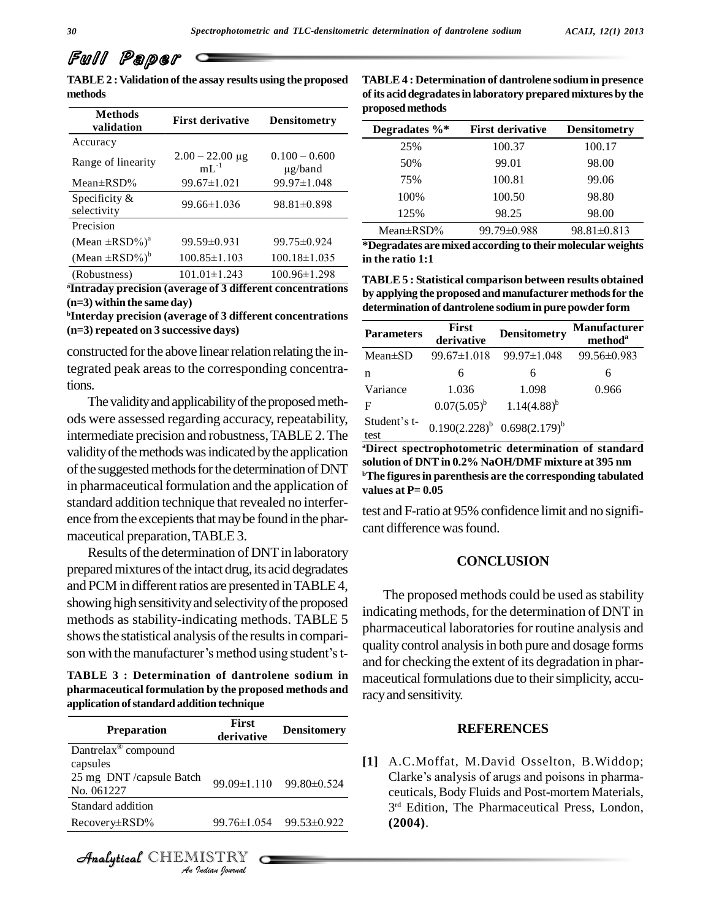# Full Paper

**TABLE2 :Validation of the assay results using the proposed methods**

| <b>Methods</b><br>validation    | <b>First derivative</b>           | <b>Densitometry</b>             |
|---------------------------------|-----------------------------------|---------------------------------|
| Accuracy                        |                                   |                                 |
| Range of linearity              | $2.00 - 22.00 \mu g$<br>$mL^{-1}$ | $0.100 - 0.600$<br>$\mu$ g/band |
| Mean $\pm$ RSD%                 | $99.67 \pm 1.021$                 | 99.97±1.048                     |
| Specificity $\&$<br>selectivity | $99.66 \pm 1.036$                 | $98.81 \pm 0.898$               |
| Precision                       |                                   |                                 |
| $(Mean \pm RSD%)^a$             | $99.59 \pm 0.931$                 | $99.75 \pm 0.924$               |
| $(Mean \pm RSD\%)^b$            | $100.85 \pm 1.103$                | $100.18 \pm 1.035$              |
| (Robustness)                    | $101.01 \pm 1.243$                | $100.96 \pm 1.298$              |

**<sup>a</sup>Intraday precision (average of 3 different concentrations (n=3) within the same day)**

**<sup>b</sup>Interday precision (average of 3 different concentrations (n=3) repeated on 3 successive days)**

constructed for the above linear relation relating the integrated peak areas to the corresponding concentrations.<br>The validity and applicability of the proposed meth-

ods were assessed regarding accuracy, repeatability, intermediate precision and robustness,TABLE 2.The validity of the methods was indicated by the application of the suggested methods for the determination of DNT in pharmaceutical formulation and the application of standard addition technique that revealed no interfer ence from the excepients that may be found in the pharmaceutical preparation,TABLE3.

Results of the determination of DNT in laboratory prepared mixtures of the intact drug, its acid degradates and PCM in different ratios are presented in TABLE 4, showing high sensitivity and selectivity of the proposed methods as stability-indicating methods. TABLE 5<br>shows the statistical analysis of the results in compari-<br>son with the manufacturer's method using student's tshows the statistical analysis of the results in compari-

**TABLE 3 : Determination of dantrolene sodium in pharmaceutical formulation by the proposed methods and application ofstandard addition technique**

| <b>First</b><br>derivative | <b>Densitomery</b>      |
|----------------------------|-------------------------|
|                            |                         |
|                            |                         |
|                            | 99.09±1.110 99.80±0.524 |
|                            |                         |
| 99.76±1.054                | 99.53±0.922             |
| Analytical CHEMISTRY       |                         |
|                            |                         |

**TABLE4 : Determination of dantrolene sodium in presence ofits acid degradatesin laboratory prepared mixtures by the proposedmethods**

| Degradates $\%$ * | <b>First derivative</b> | <b>Densitometry</b> |
|-------------------|-------------------------|---------------------|
| 25%               | 100.37                  | 100.17              |
| 50%               | 99.01                   | 98.00               |
| 75%               | 100.81                  | 99.06               |
| 100%              | 100.50                  | 98.80               |
| 125%              | 98.25                   | 98.00               |
| Mean $\pm$ RSD%   | $99.79 \pm 0.988$       | $98.81 \pm 0.813$   |

**\*Degradates are mixed according to their molecular weights in the ratio 1:1**

**TABLE5 : Statistical comparison between results obtained by applying the proposed and manufacturer methodsfor the determination of dantrolene sodiumin pure powder form**

| <b>Parameters</b>    | <b>First</b><br>derivative | <b>Densitometry</b>               | <b>Manufacturer</b><br>method <sup>a</sup> |
|----------------------|----------------------------|-----------------------------------|--------------------------------------------|
| $Mean \pm SD$        | $99.67 \pm 1.018$          | $99.97 \pm 1.048$                 | 99.56±0.983                                |
| n                    | 6                          | 6                                 | 6                                          |
| Variance             | 1.036                      | 1.098                             | 0.966                                      |
| F                    |                            | $0.07(5.05)^b$ $1.14(4.88)^b$     |                                            |
| Student's t-<br>test |                            | $0.190(2.228)^b$ $0.698(2.179)^b$ |                                            |

**<sup>a</sup>Direct spectrophotometric determination of standard solution of DNTin 0.2% NaOH/DMF mixture at 395 nm <sup>b</sup>The figuresin parenthesis are the corresponding tabulated values at P= 0.05**

test and F-ratio at 95% confidence limit and no signifi cant differencewasfound.

#### **CONCLUSION**

The proposed methods could be used as stability indicating methods, for the determination of DNT in pharmaceutical laboratories for routine analysis and quality control analysis in both pure and dosage forms and for checking the extent of its degradation in phar maceutical formulations due to their simplicity, accuracyand sensitivity.

#### **REFERENCES**

**[1]** A.C.Moffat, M.David Osselton, B.Widdop; Clarke's analysis of arugs and poisons in pharmaceuticals, Body Fluids and Post-mortem Materials, 3 rd Edition, The Pharmaceutical Press, London, **(2004)**.